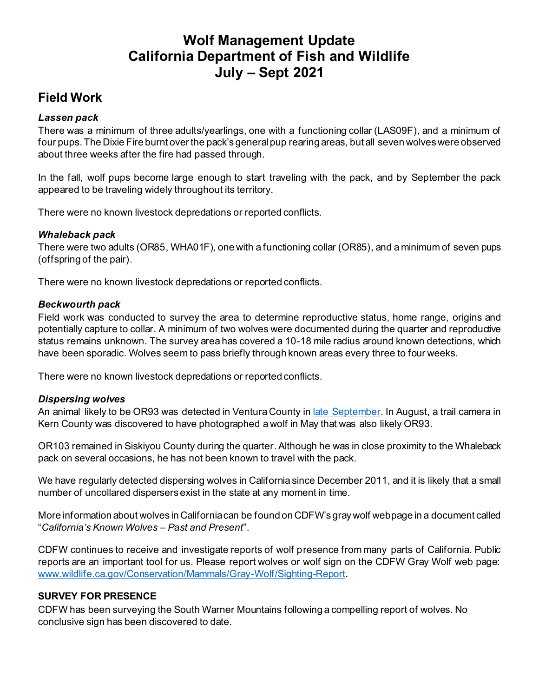# **Wolf Management Update California Department of Fish and Wildlife July – Sept 2021**

## **Field Work**

### *Lassen pack*

There was a minimum of three adults/yearlings, one with a functioning collar (LAS09F), and a minimum of four pups. The Dixie Fire burnt over the pack's general pup rearing areas, but all seven wolves were observed about three weeks after the fire had passed through.

In the fall, wolf pups become large enough to start traveling with the pack, and by September the pack appeared to be traveling widely throughout its territory.

There were no known livestock depredations or reported conflicts.

### *Whaleback pack*

There were two adults (OR85, WHA01F), one with a functioning collar (OR85), and a minimum of seven pups (offspring of the pair).

There were no known livestock depredations or reported conflicts.

### *Beckwourth pack*

Field work was conducted to survey the area to determine reproductive status, home range, origins and potentially capture to collar. A minimum of two wolves were documented during the quarter and reproductive status remains unknown. The survey area has covered a 10-18 mile radius around known detections, which have been sporadic. Wolves seem to pass briefly through known areas every three to four weeks.

There were no known livestock depredations or reported conflicts.

#### *Dispersing wolves*

An animal likely to be OR93 was detected in Ventura County i[n late September.](https://wildlife.ca.gov/News/gray-wolf-in-ventura-county-possibly-or-93) In August, a trail camera in Kern County was discovered to have photographed a wolf in May that was also likely OR93.

OR103 remained in Siskiyou County during the quarter. Although he was in close proximity to the Whaleback pack on several occasions, he has not been known to travel with the pack.

We have regularly detected dispersing wolves in California since December 2011, and it is likely that a small number of uncollared dispersers exist in the state at any moment in time.

More information about wolves in California can be found on CDFW's gray wolf webpage in a document called "*California's Known Wolves – Past and Present*".

CDFW continues to receive and investigate reports of wolf presence from many parts of California. Public reports are an important tool for us. Please report wolves or wolf sign on the CDFW Gray Wolf web page: [www.wildlife.ca.gov/Conservation/Mammals/Gray-Wolf/Sighting-Report](file:///C:/Users/VMonroe/AppData/Local/Microsoft/Windows/INetCache/Content.Outlook/IX5HEDJ2/www.wildlife.ca.gov/Conservation/Mammals/Gray-Wolf/Sighting-Report).

#### **SURVEY FOR PRESENCE**

CDFW has been surveying the South Warner Mountains following a compelling report of wolves. No conclusive sign has been discovered to date.